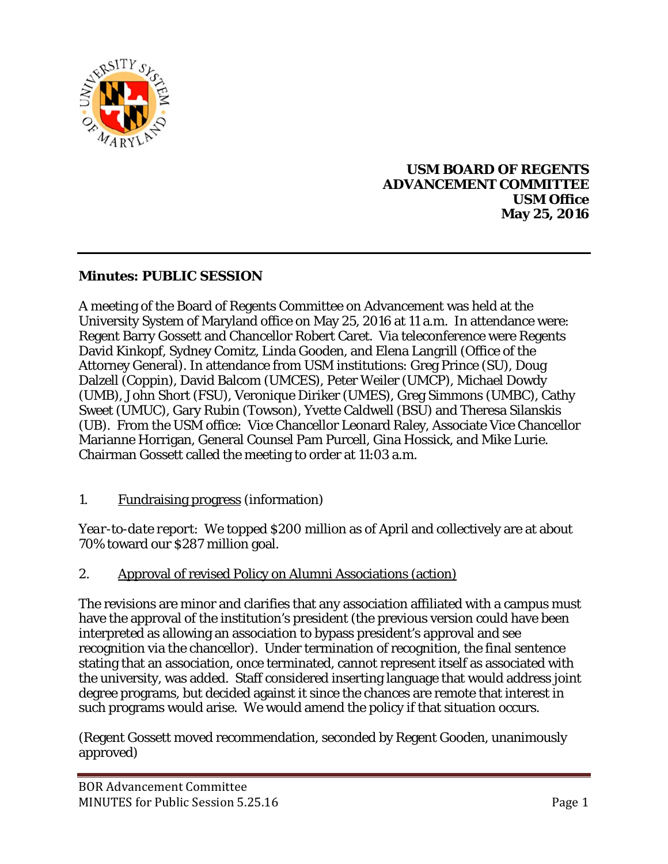

## **USM BOARD OF REGENTS ADVANCEMENT COMMITTEE USM Office May 25, 2016**

## **Minutes: PUBLIC SESSION**

A meeting of the Board of Regents Committee on Advancement was held at the University System of Maryland office on May 25, 2016 at 11 a.m. In attendance were: Regent Barry Gossett and Chancellor Robert Caret. Via teleconference were Regents David Kinkopf, Sydney Comitz, Linda Gooden, and Elena Langrill (Office of the Attorney General). In attendance from USM institutions: Greg Prince (SU), Doug Dalzell (Coppin), David Balcom (UMCES), Peter Weiler (UMCP), Michael Dowdy (UMB), John Short (FSU), Veronique Diriker (UMES), Greg Simmons (UMBC), Cathy Sweet (UMUC), Gary Rubin (Towson), Yvette Caldwell (BSU) and Theresa Silanskis (UB). From the USM office: Vice Chancellor Leonard Raley, Associate Vice Chancellor Marianne Horrigan, General Counsel Pam Purcell, Gina Hossick, and Mike Lurie. Chairman Gossett called the meeting to order at 11:03 a.m.

1. Fundraising progress (information)

*Year-to-date report*: We topped \$200 million as of April and collectively are at about 70% toward our \$287 million goal.

2. Approval of revised Policy on Alumni Associations (action)

The revisions are minor and clarifies that any association affiliated with a campus must have the approval of the institution's president (the previous version could have been interpreted as allowing an association to bypass president's approval and see recognition via the chancellor). Under termination of recognition, the final sentence stating that an association, once terminated, cannot represent itself as associated with the university, was added. Staff considered inserting language that would address joint degree programs, but decided against it since the chances are remote that interest in such programs would arise. We would amend the policy if that situation occurs.

(Regent Gossett moved recommendation, seconded by Regent Gooden, unanimously approved)